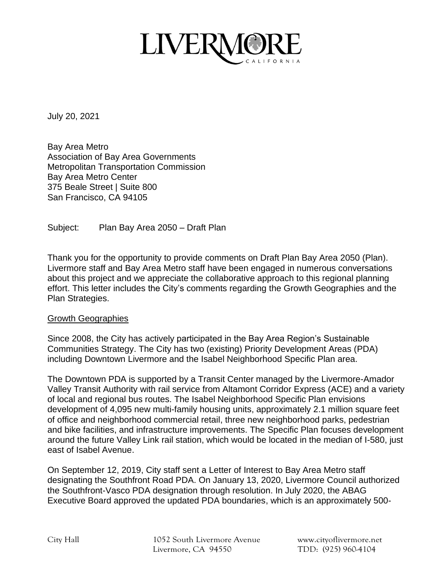

July 20, 2021

Bay Area Metro Association of Bay Area Governments Metropolitan Transportation Commission Bay Area Metro Center 375 Beale Street | Suite 800 San Francisco, CA 94105

Subject: Plan Bay Area 2050 – Draft Plan

Thank you for the opportunity to provide comments on Draft Plan Bay Area 2050 (Plan). Livermore staff and Bay Area Metro staff have been engaged in numerous conversations about this project and we appreciate the collaborative approach to this regional planning effort. This letter includes the City's comments regarding the Growth Geographies and the Plan Strategies.

## Growth Geographies

Since 2008, the City has actively participated in the Bay Area Region's Sustainable Communities Strategy. The City has two (existing) Priority Development Areas (PDA) including Downtown Livermore and the Isabel Neighborhood Specific Plan area.

The Downtown PDA is supported by a Transit Center managed by the Livermore-Amador Valley Transit Authority with rail service from Altamont Corridor Express (ACE) and a variety of local and regional bus routes. The Isabel Neighborhood Specific Plan envisions development of 4,095 new multi-family housing units, approximately 2.1 million square feet of office and neighborhood commercial retail, three new neighborhood parks, pedestrian and bike facilities, and infrastructure improvements. The Specific Plan focuses development around the future Valley Link rail station, which would be located in the median of I-580, just east of Isabel Avenue.

On September 12, 2019, City staff sent a Letter of Interest to Bay Area Metro staff designating the Southfront Road PDA. On January 13, 2020, Livermore Council authorized the Southfront-Vasco PDA designation through resolution. In July 2020, the ABAG Executive Board approved the updated PDA boundaries, which is an approximately 500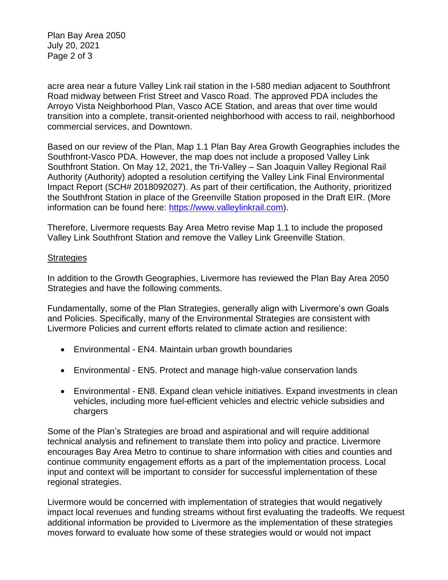Plan Bay Area 2050 July 20, 2021 Page 2 of 3

acre area near a future Valley Link rail station in the I-580 median adjacent to Southfront Road midway between Frist Street and Vasco Road. The approved PDA includes the Arroyo Vista Neighborhood Plan, Vasco ACE Station, and areas that over time would transition into a complete, transit-oriented neighborhood with access to rail, neighborhood commercial services, and Downtown.

Based on our review of the Plan, Map 1.1 Plan Bay Area Growth Geographies includes the Southfront-Vasco PDA. However, the map does not include a proposed Valley Link Southfront Station. On May 12, 2021, the Tri-Valley – San Joaquin Valley Regional Rail Authority (Authority) adopted a resolution certifying the Valley Link Final Environmental Impact Report (SCH# 2018092027). As part of their certification, the Authority, prioritized the Southfront Station in place of the Greenville Station proposed in the Draft EIR. (More information can be found here: [https://www.valleylinkrail.com\)](https://www.valleylinkrail.com/).

Therefore, Livermore requests Bay Area Metro revise Map 1.1 to include the proposed Valley Link Southfront Station and remove the Valley Link Greenville Station.

## **Strategies**

In addition to the Growth Geographies, Livermore has reviewed the Plan Bay Area 2050 Strategies and have the following comments.

Fundamentally, some of the Plan Strategies, generally align with Livermore's own Goals and Policies. Specifically, many of the Environmental Strategies are consistent with Livermore Policies and current efforts related to climate action and resilience:

- Environmental EN4. Maintain urban growth boundaries
- Environmental EN5. Protect and manage high-value conservation lands
- Environmental EN8. Expand clean vehicle initiatives. Expand investments in clean vehicles, including more fuel-efficient vehicles and electric vehicle subsidies and chargers

Some of the Plan's Strategies are broad and aspirational and will require additional technical analysis and refinement to translate them into policy and practice. Livermore encourages Bay Area Metro to continue to share information with cities and counties and continue community engagement efforts as a part of the implementation process. Local input and context will be important to consider for successful implementation of these regional strategies.

Livermore would be concerned with implementation of strategies that would negatively impact local revenues and funding streams without first evaluating the tradeoffs. We request additional information be provided to Livermore as the implementation of these strategies moves forward to evaluate how some of these strategies would or would not impact